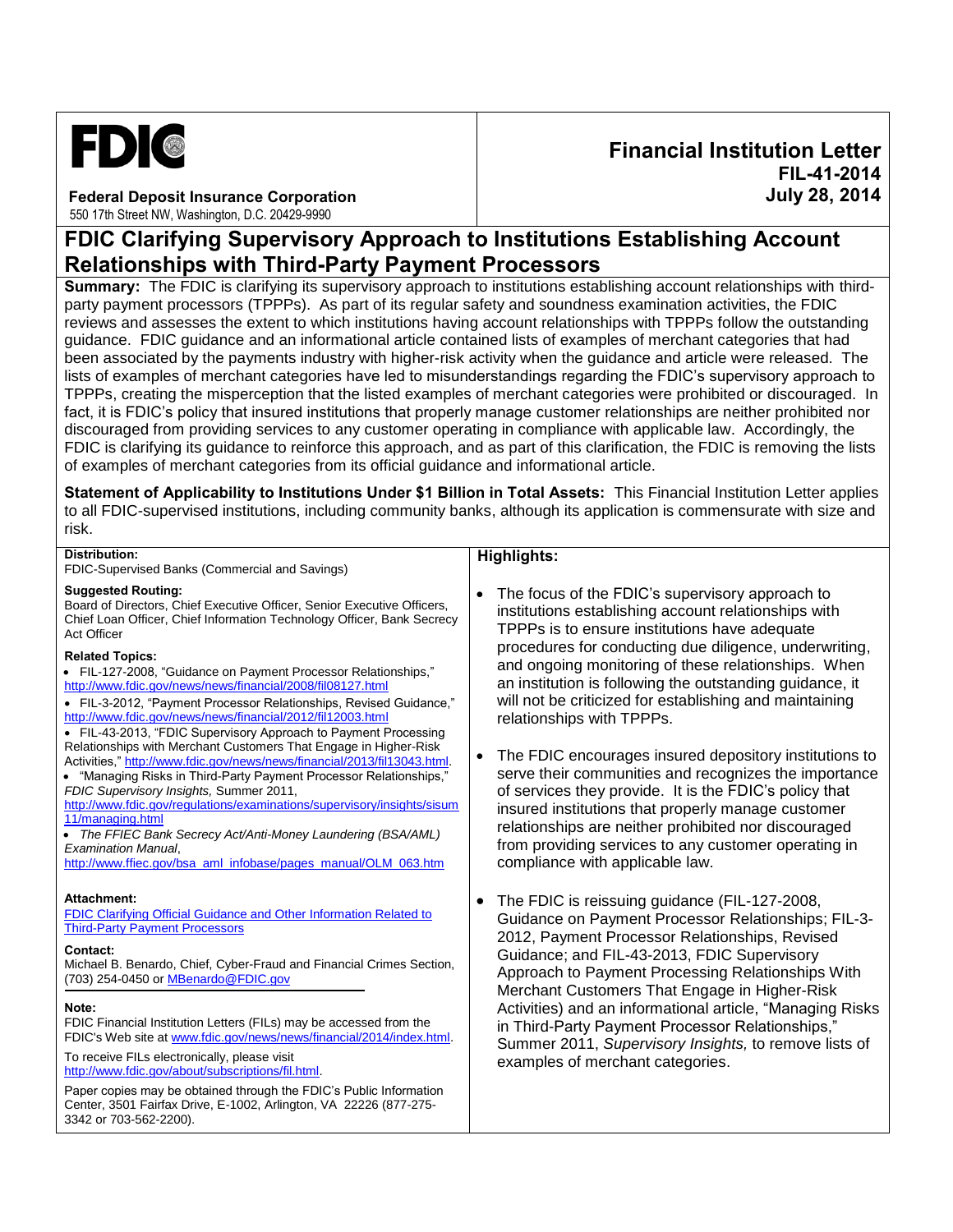

**Federal Deposit Insurance Corporation** 550 17th Street NW, Washington, D.C. 20429-9990

# **Financial Institution Letter FIL-41-2014 July 28, 2014**

# **FDIC Clarifying Supervisory Approach to Institutions Establishing Account Relationships with Third-Party Payment Processors**

**Summary:** The FDIC is clarifying its supervisory approach to institutions establishing account relationships with thirdparty payment processors (TPPPs). As part of its regular safety and soundness examination activities, the FDIC reviews and assesses the extent to which institutions having account relationships with TPPPs follow the outstanding guidance. FDIC guidance and an informational article contained lists of examples of merchant categories that had been associated by the payments industry with higher-risk activity when the guidance and article were released. The lists of examples of merchant categories have led to misunderstandings regarding the FDIC's supervisory approach to TPPPs, creating the misperception that the listed examples of merchant categories were prohibited or discouraged. In fact, it is FDIC's policy that insured institutions that properly manage customer relationships are neither prohibited nor discouraged from providing services to any customer operating in compliance with applicable law. Accordingly, the FDIC is clarifying its guidance to reinforce this approach, and as part of this clarification, the FDIC is removing the lists of examples of merchant categories from its official guidance and informational article.

**Statement of Applicability to Institutions Under \$1 Billion in Total Assets:** This Financial Institution Letter applies to all FDIC-supervised institutions, including community banks, although its application is commensurate with size and risk.

## **Distribution:**

FDIC-Supervised Banks (Commercial and Savings)

#### **Suggested Routing:**

Board of Directors, Chief Executive Officer, Senior Executive Officers, Chief Loan Officer, Chief Information Technology Officer, Bank Secrecy Act Officer

### **Related Topics:**

- FIL-127-2008, "Guidance on Payment Processor Relationships," <http://www.fdic.gov/news/news/financial/2008/fil08127.html>
- FIL-3-2012, "Payment Processor Relationships, Revised Guidance," <http://www.fdic.gov/news/news/financial/2012/fil12003.html>
- FIL-43-2013, "FDIC Supervisory Approach to Payment Processing Relationships with Merchant Customers That Engage in Higher-Risk Activities," [http://www.fdic.gov/news/news/financial/2013/fil13043.html.](http://www.fdic.gov/news/news/financial/2013/fil13043.html)
- "Managing Risks in Third-Party Payment Processor Relationships," *FDIC Supervisory Insights,* Summer 2011,
- [http://www.fdic.gov/regulations/examinations/supervisory/insights/sisum](http://www.fdic.gov/regulations/examinations/supervisory/insights/sisum11/managing.html) [11/managing.html](http://www.fdic.gov/regulations/examinations/supervisory/insights/sisum11/managing.html)
- *The FFIEC Bank Secrecy Act/Anti-Money Laundering (BSA/AML) Examination Manual*,
- [http://www.ffiec.gov/bsa\\_aml\\_infobase/pages\\_manual/OLM\\_063.htm](http://www.ffiec.gov/bsa_aml_infobase/pages_manual/OLM_063.htm)

#### **Attachment:**

[FDIC Clarifying Official Guidance and Other Information Related to](#page-0-0)  [Third-Party Payment Processors](#page-0-0)

#### **Contact:**

Michael B. Benardo, Chief, Cyber-Fraud and Financial Crimes Section, (703) 254-0450 o[r MBenardo@FDIC.gov](mailto:MBenardo@FDIC.gov) 

#### **Note:**

FDIC Financial Institution Letters (FILs) may be accessed from the FDIC's Web site at [www.fdic.gov/news/news/financial/2014/index.html.](http://www.fdic.gov/news/news/financial/2014/index.html) 

To receive FILs electronically, please visit [http://www.fdic.gov/about/subscriptions/fil.html.](http://www.fdic.gov/about/subscriptions/index.html)

<span id="page-0-0"></span>Paper copies may be obtained through the FDIC's Public Information Center, 3501 Fairfax Drive, E-1002, Arlington, VA 22226 (877-275- 3342 or 703-562-2200).

## **Highlights:**

- The focus of the FDIC's supervisory approach to institutions establishing account relationships with TPPPs is to ensure institutions have adequate procedures for conducting due diligence, underwriting, and ongoing monitoring of these relationships. When an institution is following the outstanding guidance, it will not be criticized for establishing and maintaining relationships with TPPPs.
- The FDIC encourages insured depository institutions to serve their communities and recognizes the importance of services they provide. It is the FDIC's policy that insured institutions that properly manage customer relationships are neither prohibited nor discouraged from providing services to any customer operating in compliance with applicable law.
- The FDIC is reissuing guidance (FIL-127-2008, Guidance on Payment Processor Relationships; FIL-3- 2012, Payment Processor Relationships, Revised Guidance; and FIL-43-2013, FDIC Supervisory Approach to Payment Processing Relationships With Merchant Customers That Engage in Higher-Risk Activities) and an informational article, "Managing Risks in Third-Party Payment Processor Relationships," Summer 2011, *Supervisory Insights,* to remove lists of examples of merchant categories.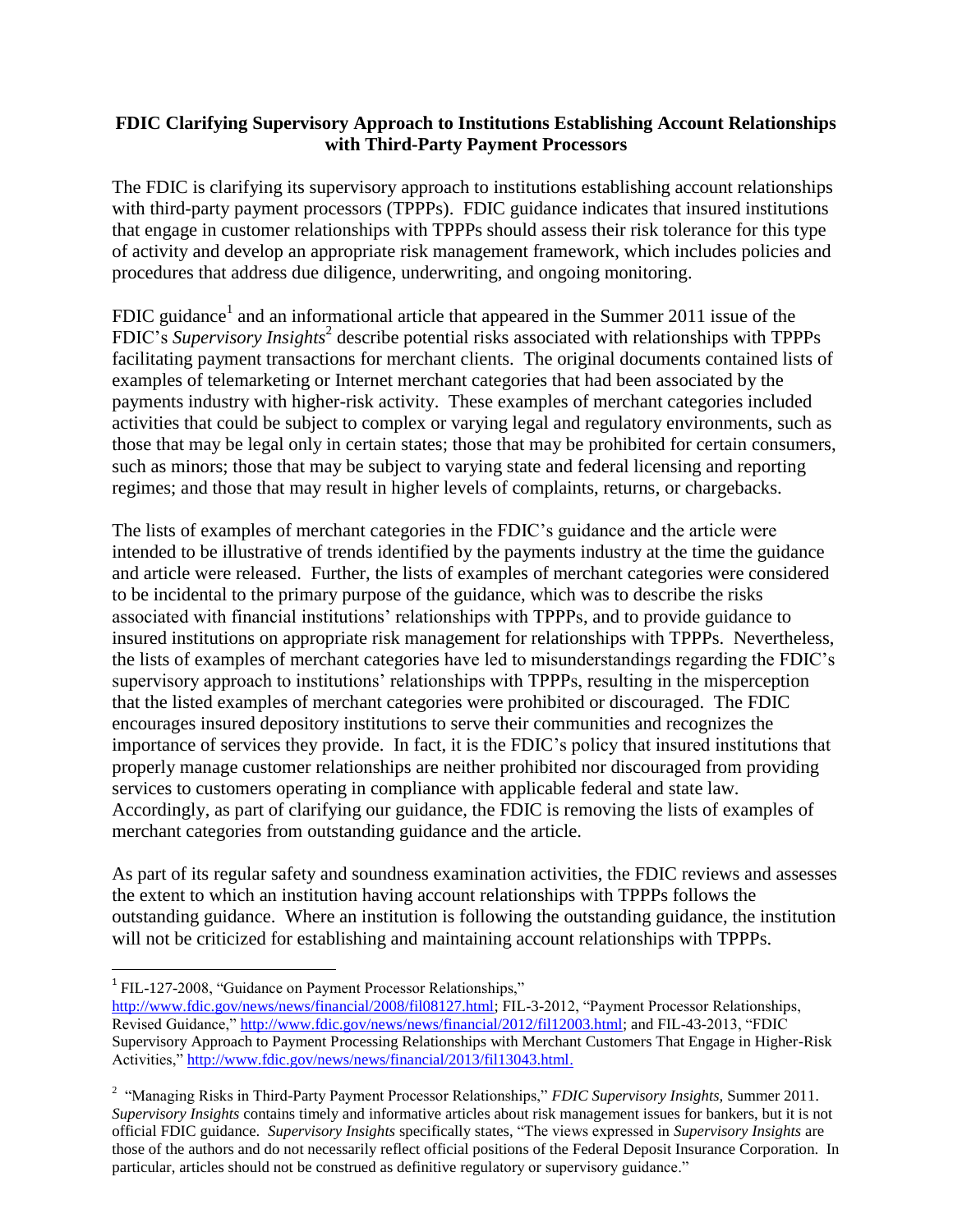## **FDIC Clarifying Supervisory Approach to Institutions Establishing Account Relationships with Third-Party Payment Processors**

The FDIC is clarifying its supervisory approach to institutions establishing account relationships with third-party payment processors (TPPPs). FDIC guidance indicates that insured institutions that engage in customer relationships with TPPPs should assess their risk tolerance for this type of activity and develop an appropriate risk management framework, which includes policies and procedures that address due diligence, underwriting, and ongoing monitoring.

FDIC guidance<sup>1</sup> and an informational article that appeared in the Summer 2011 issue of the FDIC's Supervisory Insights<sup>2</sup> describe potential risks associated with relationships with TPPPs facilitating payment transactions for merchant clients. The original documents contained lists of examples of telemarketing or Internet merchant categories that had been associated by the payments industry with higher-risk activity. These examples of merchant categories included activities that could be subject to complex or varying legal and regulatory environments, such as those that may be legal only in certain states; those that may be prohibited for certain consumers, such as minors; those that may be subject to varying state and federal licensing and reporting regimes; and those that may result in higher levels of complaints, returns, or chargebacks.

The lists of examples of merchant categories in the FDIC's guidance and the article were intended to be illustrative of trends identified by the payments industry at the time the guidance and article were released. Further, the lists of examples of merchant categories were considered to be incidental to the primary purpose of the guidance, which was to describe the risks associated with financial institutions' relationships with TPPPs, and to provide guidance to insured institutions on appropriate risk management for relationships with TPPPs. Nevertheless, the lists of examples of merchant categories have led to misunderstandings regarding the FDIC's supervisory approach to institutions' relationships with TPPPs, resulting in the misperception that the listed examples of merchant categories were prohibited or discouraged. The FDIC encourages insured depository institutions to serve their communities and recognizes the importance of services they provide. In fact, it is the FDIC's policy that insured institutions that properly manage customer relationships are neither prohibited nor discouraged from providing services to customers operating in compliance with applicable federal and state law. Accordingly, as part of clarifying our guidance, the FDIC is removing the lists of examples of merchant categories from outstanding guidance and the article.

As part of its regular safety and soundness examination activities, the FDIC reviews and assesses the extent to which an institution having account relationships with TPPPs follows the outstanding guidance. Where an institution is following the outstanding guidance, the institution will not be criticized for establishing and maintaining account relationships with TPPPs.

 $\overline{a}$ 

<sup>&</sup>lt;sup>1</sup> FIL-127-2008, "Guidance on Payment Processor Relationships,"

[http://www.fdic.gov/news/news/financial/2008/fil08127.html;](http://www.fdic.gov/news/news/financial/2008/fil08127.html) FIL-3-2012, "Payment Processor Relationships, Revised Guidance," [http://www.fdic.gov/news/news/financial/2012/fil12003.html;](http://www.fdic.gov/news/news/financial/2012/fil12003.html) and FIL-43-2013, "FDIC Supervisory Approach to Payment Processing Relationships with Merchant Customers That Engage in Higher-Risk Activities," [http://www.fdic.gov/news/news/financial/2013/fil13043.html.](http://www.fdic.gov/news/news/financial/2013/fil13043.html)

<sup>&</sup>lt;sup>2</sup> "Managing Risks in Third-Party Payment Processor Relationships," *FDIC Supervisory Insights*, Summer 2011. *Supervisory Insights* contains timely and informative articles about risk management issues for bankers, but it is not official FDIC guidance. *Supervisory Insights* specifically states, "The views expressed in *Supervisory Insights* are those of the authors and do not necessarily reflect official positions of the Federal Deposit Insurance Corporation. In particular, articles should not be construed as definitive regulatory or supervisory guidance."